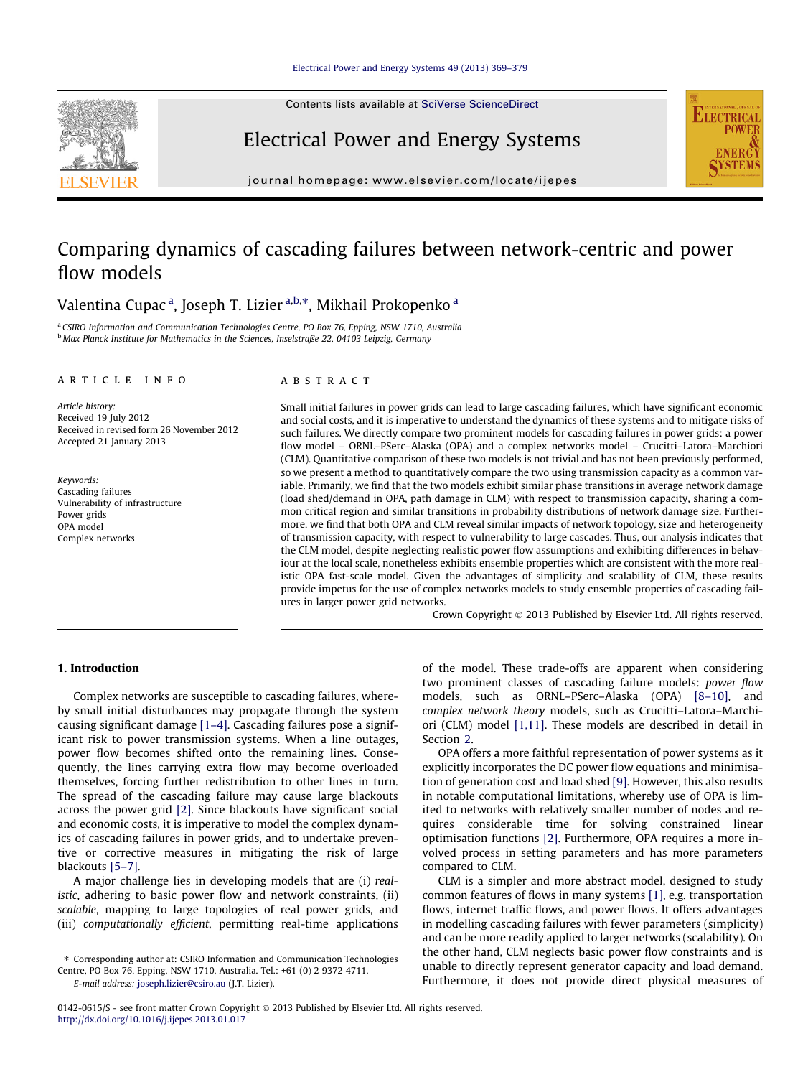

Contents lists available at [SciVerse ScienceDirect](http://www.sciencedirect.com/science/journal/01420615)

# Electrical Power and Energy Systems



journal homepage: [www.elsevier.com/locate/ijepes](http://www.elsevier.com/locate/ijepes)

# Comparing dynamics of cascading failures between network-centric and power flow models

# Valentina Cupac<sup>a</sup>, Joseph T. Lizier<sup>a,b,</sup>\*, Mikhail Prokopenko<sup>a</sup>

<sup>a</sup> CSIRO Information and Communication Technologies Centre, PO Box 76, Epping, NSW 1710, Australia <sup>b</sup> Max Planck Institute for Mathematics in the Sciences, Inselstraße 22, 04103 Leipzig, Germany

# article info

Article history: Received 19 July 2012 Received in revised form 26 November 2012 Accepted 21 January 2013

Keywords: Cascading failures Vulnerability of infrastructure Power grids OPA model Complex networks

#### **ABSTRACT**

Small initial failures in power grids can lead to large cascading failures, which have significant economic and social costs, and it is imperative to understand the dynamics of these systems and to mitigate risks of such failures. We directly compare two prominent models for cascading failures in power grids: a power flow model – ORNL–PSerc–Alaska (OPA) and a complex networks model – Crucitti–Latora–Marchiori (CLM). Quantitative comparison of these two models is not trivial and has not been previously performed, so we present a method to quantitatively compare the two using transmission capacity as a common variable. Primarily, we find that the two models exhibit similar phase transitions in average network damage (load shed/demand in OPA, path damage in CLM) with respect to transmission capacity, sharing a common critical region and similar transitions in probability distributions of network damage size. Furthermore, we find that both OPA and CLM reveal similar impacts of network topology, size and heterogeneity of transmission capacity, with respect to vulnerability to large cascades. Thus, our analysis indicates that the CLM model, despite neglecting realistic power flow assumptions and exhibiting differences in behaviour at the local scale, nonetheless exhibits ensemble properties which are consistent with the more realistic OPA fast-scale model. Given the advantages of simplicity and scalability of CLM, these results provide impetus for the use of complex networks models to study ensemble properties of cascading failures in larger power grid networks.

Crown Copyright © 2013 Published by Elsevier Ltd. All rights reserved.

# 1. Introduction

Complex networks are susceptible to cascading failures, whereby small initial disturbances may propagate through the system causing significant damage [\[1–4\].](#page-10-0) Cascading failures pose a significant risk to power transmission systems. When a line outages, power flow becomes shifted onto the remaining lines. Consequently, the lines carrying extra flow may become overloaded themselves, forcing further redistribution to other lines in turn. The spread of the cascading failure may cause large blackouts across the power grid [\[2\].](#page-10-0) Since blackouts have significant social and economic costs, it is imperative to model the complex dynamics of cascading failures in power grids, and to undertake preventive or corrective measures in mitigating the risk of large blackouts [\[5–7\].](#page-10-0)

A major challenge lies in developing models that are (i) realistic, adhering to basic power flow and network constraints, (ii) scalable, mapping to large topologies of real power grids, and (iii) computationally efficient, permitting real-time applications of the model. These trade-offs are apparent when considering two prominent classes of cascading failure models: power flow models, such as ORNL–PSerc–Alaska (OPA) [\[8–10\],](#page-10-0) and complex network theory models, such as Crucitti–Latora–Marchiori (CLM) model [\[1,11\]](#page-10-0). These models are described in detail in Section [2](#page-1-0).

OPA offers a more faithful representation of power systems as it explicitly incorporates the DC power flow equations and minimisation of generation cost and load shed [\[9\]](#page-10-0). However, this also results in notable computational limitations, whereby use of OPA is limited to networks with relatively smaller number of nodes and requires considerable time for solving constrained linear optimisation functions [\[2\]](#page-10-0). Furthermore, OPA requires a more involved process in setting parameters and has more parameters compared to CLM.

CLM is a simpler and more abstract model, designed to study common features of flows in many systems [\[1\]](#page-10-0), e.g. transportation flows, internet traffic flows, and power flows. It offers advantages in modelling cascading failures with fewer parameters (simplicity) and can be more readily applied to larger networks (scalability). On the other hand, CLM neglects basic power flow constraints and is unable to directly represent generator capacity and load demand. Furthermore, it does not provide direct physical measures of

<sup>⇑</sup> Corresponding author at: CSIRO Information and Communication Technologies Centre, PO Box 76, Epping, NSW 1710, Australia. Tel.: +61 (0) 2 9372 4711. E-mail address: [joseph.lizier@csiro.au](mailto:joseph.lizier@csiro.au) (J.T. Lizier).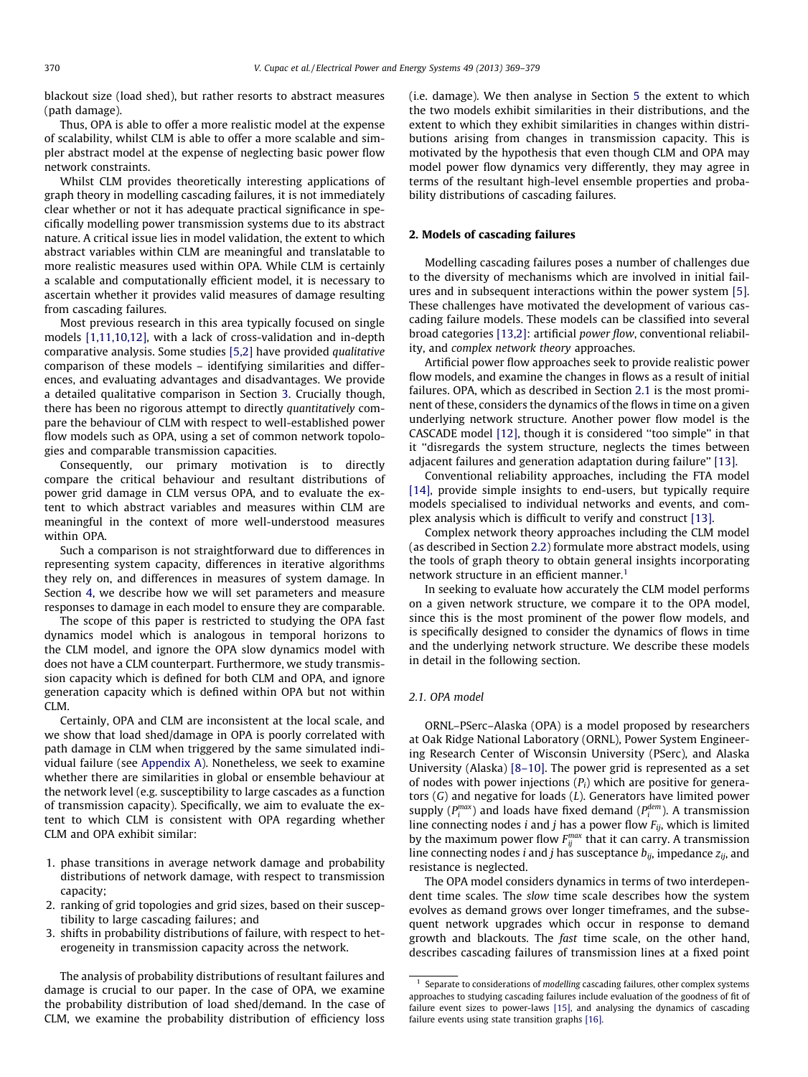<span id="page-1-0"></span>blackout size (load shed), but rather resorts to abstract measures (path damage).

Thus, OPA is able to offer a more realistic model at the expense of scalability, whilst CLM is able to offer a more scalable and simpler abstract model at the expense of neglecting basic power flow network constraints.

Whilst CLM provides theoretically interesting applications of graph theory in modelling cascading failures, it is not immediately clear whether or not it has adequate practical significance in specifically modelling power transmission systems due to its abstract nature. A critical issue lies in model validation, the extent to which abstract variables within CLM are meaningful and translatable to more realistic measures used within OPA. While CLM is certainly a scalable and computationally efficient model, it is necessary to ascertain whether it provides valid measures of damage resulting from cascading failures.

Most previous research in this area typically focused on single models [\[1,11,10,12\]](#page-10-0), with a lack of cross-validation and in-depth comparative analysis. Some studies [\[5,2\]](#page-10-0) have provided qualitative comparison of these models – identifying similarities and differences, and evaluating advantages and disadvantages. We provide a detailed qualitative comparison in Section [3.](#page-3-0) Crucially though, there has been no rigorous attempt to directly quantitatively compare the behaviour of CLM with respect to well-established power flow models such as OPA, using a set of common network topologies and comparable transmission capacities.

Consequently, our primary motivation is to directly compare the critical behaviour and resultant distributions of power grid damage in CLM versus OPA, and to evaluate the extent to which abstract variables and measures within CLM are meaningful in the context of more well-understood measures within OPA

Such a comparison is not straightforward due to differences in representing system capacity, differences in iterative algorithms they rely on, and differences in measures of system damage. In Section [4](#page-4-0), we describe how we will set parameters and measure responses to damage in each model to ensure they are comparable.

The scope of this paper is restricted to studying the OPA fast dynamics model which is analogous in temporal horizons to the CLM model, and ignore the OPA slow dynamics model with does not have a CLM counterpart. Furthermore, we study transmission capacity which is defined for both CLM and OPA, and ignore generation capacity which is defined within OPA but not within CLM.

Certainly, OPA and CLM are inconsistent at the local scale, and we show that load shed/damage in OPA is poorly correlated with path damage in CLM when triggered by the same simulated individual failure (see [Appendix A\)](#page-9-0). Nonetheless, we seek to examine whether there are similarities in global or ensemble behaviour at the network level (e.g. susceptibility to large cascades as a function of transmission capacity). Specifically, we aim to evaluate the extent to which CLM is consistent with OPA regarding whether CLM and OPA exhibit similar:

- 1. phase transitions in average network damage and probability distributions of network damage, with respect to transmission capacity;
- 2. ranking of grid topologies and grid sizes, based on their susceptibility to large cascading failures; and
- 3. shifts in probability distributions of failure, with respect to heterogeneity in transmission capacity across the network.

The analysis of probability distributions of resultant failures and damage is crucial to our paper. In the case of OPA, we examine the probability distribution of load shed/demand. In the case of CLM, we examine the probability distribution of efficiency loss (i.e. damage). We then analyse in Section [5](#page-6-0) the extent to which the two models exhibit similarities in their distributions, and the extent to which they exhibit similarities in changes within distributions arising from changes in transmission capacity. This is motivated by the hypothesis that even though CLM and OPA may model power flow dynamics very differently, they may agree in terms of the resultant high-level ensemble properties and probability distributions of cascading failures.

## 2. Models of cascading failures

Modelling cascading failures poses a number of challenges due to the diversity of mechanisms which are involved in initial failures and in subsequent interactions within the power system [\[5\].](#page-10-0) These challenges have motivated the development of various cascading failure models. These models can be classified into several broad categories [\[13,2\]](#page-10-0): artificial power flow, conventional reliability, and complex network theory approaches.

Artificial power flow approaches seek to provide realistic power flow models, and examine the changes in flows as a result of initial failures. OPA, which as described in Section 2.1 is the most prominent of these, considers the dynamics of the flows in time on a given underlying network structure. Another power flow model is the CASCADE model [\[12\],](#page-10-0) though it is considered ''too simple'' in that it ''disregards the system structure, neglects the times between adjacent failures and generation adaptation during failure'' [\[13\]](#page-10-0).

Conventional reliability approaches, including the FTA model [\[14\]](#page-10-0), provide simple insights to end-users, but typically require models specialised to individual networks and events, and complex analysis which is difficult to verify and construct [\[13\]](#page-10-0).

Complex network theory approaches including the CLM model (as described in Section [2.2](#page-2-0)) formulate more abstract models, using the tools of graph theory to obtain general insights incorporating network structure in an efficient manner.<sup>1</sup>

In seeking to evaluate how accurately the CLM model performs on a given network structure, we compare it to the OPA model, since this is the most prominent of the power flow models, and is specifically designed to consider the dynamics of flows in time and the underlying network structure. We describe these models in detail in the following section.

#### 2.1. OPA model

ORNL–PSerc–Alaska (OPA) is a model proposed by researchers at Oak Ridge National Laboratory (ORNL), Power System Engineering Research Center of Wisconsin University (PSerc), and Alaska University (Alaska) [\[8–10\].](#page-10-0) The power grid is represented as a set of nodes with power injections  $(P_i)$  which are positive for generators (G) and negative for loads (L). Generators have limited power supply ( $P_i^{max}$ ) and loads have fixed demand ( $P_i^{dem}$ ). A transmission line connecting nodes *i* and *j* has a power flow  $F_{ij}$ , which is limited by the maximum power flow  $F_{ij}^{max}$  that it can carry. A transmission line connecting nodes *i* and *j* has susceptance  $b_{ij}$ , impedance  $z_{ij}$ , and resistance is neglected.

The OPA model considers dynamics in terms of two interdependent time scales. The slow time scale describes how the system evolves as demand grows over longer timeframes, and the subsequent network upgrades which occur in response to demand growth and blackouts. The fast time scale, on the other hand, describes cascading failures of transmission lines at a fixed point

 $1$  Separate to considerations of modelling cascading failures, other complex systems approaches to studying cascading failures include evaluation of the goodness of fit of failure event sizes to power-laws [\[15\],](#page-10-0) and analysing the dynamics of cascading failure events using state transition graphs [\[16\].](#page-10-0)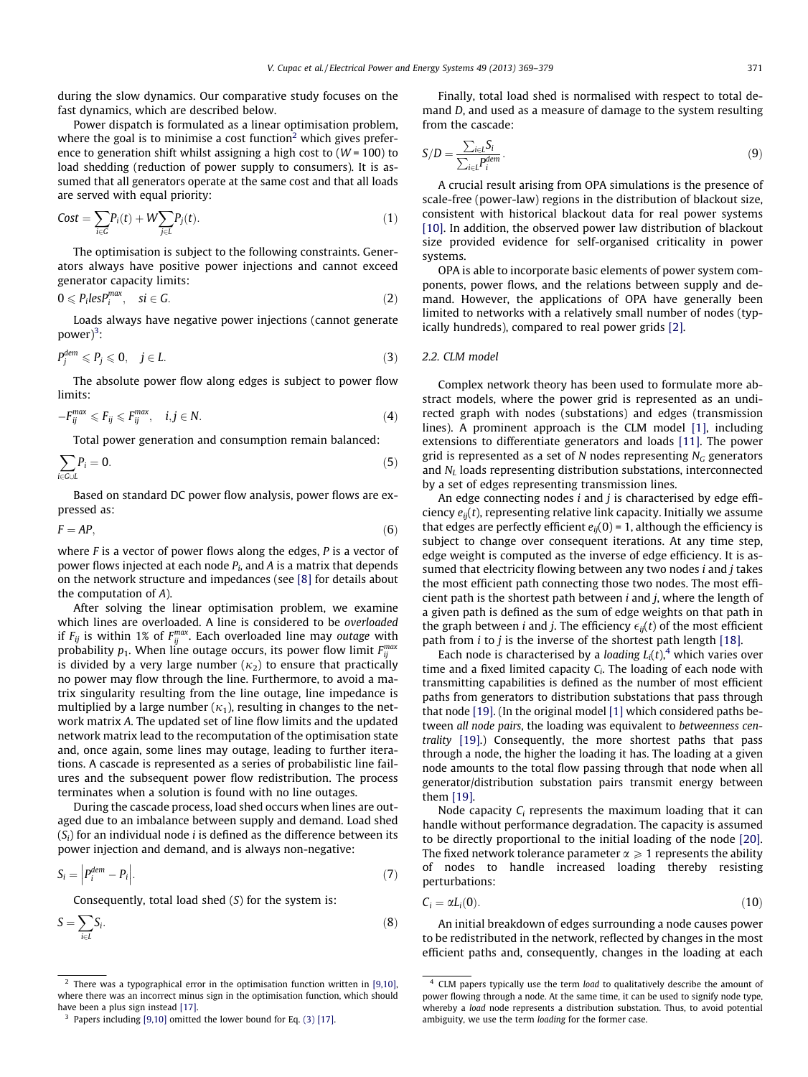<span id="page-2-0"></span>during the slow dynamics. Our comparative study focuses on the fast dynamics, which are described below.

Power dispatch is formulated as a linear optimisation problem, where the goal is to minimise a cost function<sup>2</sup> which gives preference to generation shift whilst assigning a high cost to  $(W = 100)$  to load shedding (reduction of power supply to consumers). It is assumed that all generators operate at the same cost and that all loads are served with equal priority:

$$
Cost = \sum_{i \in G} P_i(t) + W \sum_{j \in L} P_j(t). \tag{1}
$$

The optimisation is subject to the following constraints. Generators always have positive power injections and cannot exceed generator capacity limits:

$$
0 \leqslant P_i \text{les} P_i^{\text{max}}, \quad \text{si} \in G. \tag{2}
$$

Loads always have negative power injections (cannot generate power)<sup>3</sup>:

$$
P_j^{dem} \leqslant P_j \leqslant 0, \quad j \in L. \tag{3}
$$

The absolute power flow along edges is subject to power flow limits:

$$
-F_{ij}^{max} \leq F_{ij} \leq F_{ij}^{max}, \quad i,j \in \mathbb{N}.
$$
\n
$$
(4)
$$

Total power generation and consumption remain balanced:

$$
\sum_{i \in G \cup L} P_i = 0. \tag{5}
$$

Based on standard DC power flow analysis, power flows are expressed as:

$$
F = AP, \tag{6}
$$

where  $F$  is a vector of power flows along the edges,  $P$  is a vector of power flows injected at each node  $P_i$ , and A is a matrix that depends on the network structure and impedances (see [\[8\]](#page-10-0) for details about the computation of A).

After solving the linear optimisation problem, we examine which lines are overloaded. A line is considered to be overloaded if  $F_{ij}$  is within 1% of  $F_{ij}^{max}$ . Each overloaded line may outage with probability  $p_1$ . When line outage occurs, its power flow limit  $F_{ij}^{max}$ is divided by a very large number  $(\kappa_2)$  to ensure that practically no power may flow through the line. Furthermore, to avoid a matrix singularity resulting from the line outage, line impedance is multiplied by a large number  $(\kappa_1)$ , resulting in changes to the network matrix A. The updated set of line flow limits and the updated network matrix lead to the recomputation of the optimisation state and, once again, some lines may outage, leading to further iterations. A cascade is represented as a series of probabilistic line failures and the subsequent power flow redistribution. The process terminates when a solution is found with no line outages.

During the cascade process, load shed occurs when lines are outaged due to an imbalance between supply and demand. Load shed  $(S_i)$  for an individual node *i* is defined as the difference between its power injection and demand, and is always non-negative:

$$
S_i = \left| P_i^{dem} - P_i \right| \tag{7}
$$

Consequently, total load shed (S) for the system is:

$$
S = \sum_{i \in L} S_i. \tag{8}
$$

Finally, total load shed is normalised with respect to total demand D, and used as a measure of damage to the system resulting from the cascade:

$$
S/D = \frac{\sum_{i \in L} S_i}{\sum_{i \in L} P_i^{dem}}.\tag{9}
$$

A crucial result arising from OPA simulations is the presence of scale-free (power-law) regions in the distribution of blackout size, consistent with historical blackout data for real power systems [\[10\].](#page-10-0) In addition, the observed power law distribution of blackout size provided evidence for self-organised criticality in power systems.

OPA is able to incorporate basic elements of power system components, power flows, and the relations between supply and demand. However, the applications of OPA have generally been limited to networks with a relatively small number of nodes (typically hundreds), compared to real power grids [\[2\].](#page-10-0)

# 2.2. CLM model

Complex network theory has been used to formulate more abstract models, where the power grid is represented as an undirected graph with nodes (substations) and edges (transmission lines). A prominent approach is the CLM model [\[1\],](#page-10-0) including extensions to differentiate generators and loads [\[11\]](#page-10-0). The power grid is represented as a set of N nodes representing  $N_c$  generators and  $N<sub>L</sub>$  loads representing distribution substations, interconnected by a set of edges representing transmission lines.

An edge connecting nodes  $i$  and  $j$  is characterised by edge efficiency  $e_{ii}(t)$ , representing relative link capacity. Initially we assume that edges are perfectly efficient  $e_{ii}(0) = 1$ , although the efficiency is subject to change over consequent iterations. At any time step, edge weight is computed as the inverse of edge efficiency. It is assumed that electricity flowing between any two nodes *i* and *j* takes the most efficient path connecting those two nodes. The most efficient path is the shortest path between i and j, where the length of a given path is defined as the sum of edge weights on that path in the graph between i and j. The efficiency  $\epsilon_{ij}(t)$  of the most efficient path from  $i$  to  $j$  is the inverse of the shortest path length [\[18\]](#page-10-0).

Each node is characterised by a *loading*  $L_i(t)$ ,<sup>4</sup> which varies over time and a fixed limited capacity  $C_i$ . The loading of each node with transmitting capabilities is defined as the number of most efficient paths from generators to distribution substations that pass through that node [\[19\].](#page-10-0) (In the original model [\[1\]](#page-10-0) which considered paths between all node pairs, the loading was equivalent to betweenness centrality [\[19\].](#page-10-0)) Consequently, the more shortest paths that pass through a node, the higher the loading it has. The loading at a given node amounts to the total flow passing through that node when all generator/distribution substation pairs transmit energy between them [\[19\].](#page-10-0)

Node capacity  $C_i$  represents the maximum loading that it can handle without performance degradation. The capacity is assumed to be directly proportional to the initial loading of the node [\[20\].](#page-10-0) The fixed network tolerance parameter  $\alpha \geq 1$  represents the ability of nodes to handle increased loading thereby resisting perturbations:

$$
C_i = \alpha L_i(0). \tag{10}
$$

An initial breakdown of edges surrounding a node causes power to be redistributed in the network, reflected by changes in the most efficient paths and, consequently, changes in the loading at each

There was a typographical error in the optimisation function written in [\[9,10\]](#page-10-0), where there was an incorrect minus sign in the optimisation function, which should have been a plus sign instead [\[17\].](#page-10-0)

Papers including [\[9,10\]](#page-10-0) omitted the lower bound for Eq. (3) [\[17\]](#page-10-0).

 $4$  CLM papers typically use the term load to qualitatively describe the amount of power flowing through a node. At the same time, it can be used to signify node type, whereby a load node represents a distribution substation. Thus, to avoid potential ambiguity, we use the term loading for the former case.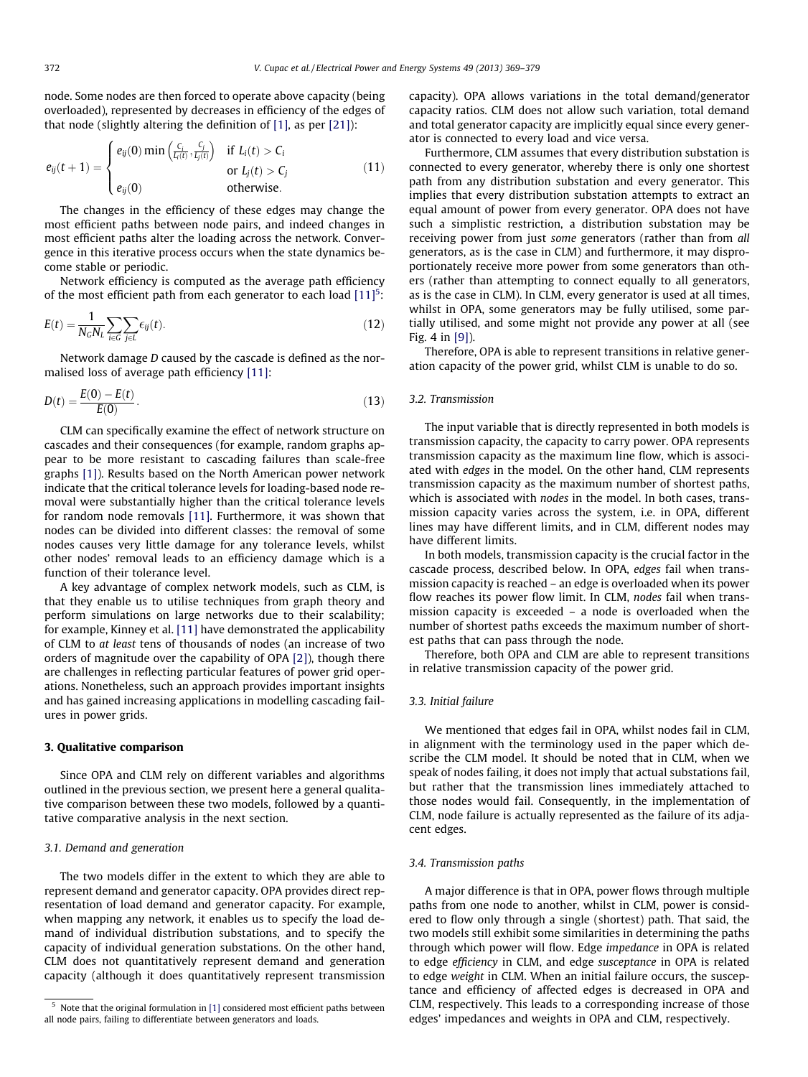<span id="page-3-0"></span>node. Some nodes are then forced to operate above capacity (being overloaded), represented by decreases in efficiency of the edges of that node (slightly altering the definition of [\[1\]](#page-10-0), as per [\[21\]](#page-10-0)):

$$
e_{ij}(t+1) = \begin{cases} e_{ij}(0) \min\left(\frac{C_i}{L_i(t)}, \frac{C_j}{L_j(t)}\right) & \text{if } L_i(t) > C_i \\ \text{or } L_j(t) > C_j \\ e_{ij}(0) & \text{otherwise.} \end{cases}
$$
(11)

The changes in the efficiency of these edges may change the most efficient paths between node pairs, and indeed changes in most efficient paths alter the loading across the network. Convergence in this iterative process occurs when the state dynamics become stable or periodic.

Network efficiency is computed as the average path efficiency of the most efficient path from each generator to each load  $[11]^{5}$ :

$$
E(t) = \frac{1}{N_G N_L} \sum_{i \in G} \sum_{j \in L} \epsilon_{ij}(t). \tag{12}
$$

Network damage D caused by the cascade is defined as the normalised loss of average path efficiency [\[11\]:](#page-10-0)

$$
D(t) = \frac{E(0) - E(t)}{E(0)}.
$$
\n(13)

CLM can specifically examine the effect of network structure on cascades and their consequences (for example, random graphs appear to be more resistant to cascading failures than scale-free graphs [\[1\]\)](#page-10-0). Results based on the North American power network indicate that the critical tolerance levels for loading-based node removal were substantially higher than the critical tolerance levels for random node removals [\[11\].](#page-10-0) Furthermore, it was shown that nodes can be divided into different classes: the removal of some nodes causes very little damage for any tolerance levels, whilst other nodes' removal leads to an efficiency damage which is a function of their tolerance level.

A key advantage of complex network models, such as CLM, is that they enable us to utilise techniques from graph theory and perform simulations on large networks due to their scalability; for example, Kinney et al. [\[11\]](#page-10-0) have demonstrated the applicability of CLM to at least tens of thousands of nodes (an increase of two orders of magnitude over the capability of OPA [\[2\]\)](#page-10-0), though there are challenges in reflecting particular features of power grid operations. Nonetheless, such an approach provides important insights and has gained increasing applications in modelling cascading failures in power grids.

# 3. Qualitative comparison

Since OPA and CLM rely on different variables and algorithms outlined in the previous section, we present here a general qualitative comparison between these two models, followed by a quantitative comparative analysis in the next section.

#### 3.1. Demand and generation

The two models differ in the extent to which they are able to represent demand and generator capacity. OPA provides direct representation of load demand and generator capacity. For example, when mapping any network, it enables us to specify the load demand of individual distribution substations, and to specify the capacity of individual generation substations. On the other hand, CLM does not quantitatively represent demand and generation capacity (although it does quantitatively represent transmission capacity). OPA allows variations in the total demand/generator capacity ratios. CLM does not allow such variation, total demand and total generator capacity are implicitly equal since every generator is connected to every load and vice versa.

Furthermore, CLM assumes that every distribution substation is connected to every generator, whereby there is only one shortest path from any distribution substation and every generator. This implies that every distribution substation attempts to extract an equal amount of power from every generator. OPA does not have such a simplistic restriction, a distribution substation may be receiving power from just some generators (rather than from all generators, as is the case in CLM) and furthermore, it may disproportionately receive more power from some generators than others (rather than attempting to connect equally to all generators, as is the case in CLM). In CLM, every generator is used at all times, whilst in OPA, some generators may be fully utilised, some partially utilised, and some might not provide any power at all (see Fig. 4 in [\[9\]\)](#page-10-0).

Therefore, OPA is able to represent transitions in relative generation capacity of the power grid, whilst CLM is unable to do so.

#### 3.2. Transmission

The input variable that is directly represented in both models is transmission capacity, the capacity to carry power. OPA represents transmission capacity as the maximum line flow, which is associated with edges in the model. On the other hand, CLM represents transmission capacity as the maximum number of shortest paths, which is associated with nodes in the model. In both cases, transmission capacity varies across the system, i.e. in OPA, different lines may have different limits, and in CLM, different nodes may have different limits.

In both models, transmission capacity is the crucial factor in the cascade process, described below. In OPA, edges fail when transmission capacity is reached – an edge is overloaded when its power flow reaches its power flow limit. In CLM, nodes fail when transmission capacity is exceeded – a node is overloaded when the number of shortest paths exceeds the maximum number of shortest paths that can pass through the node.

Therefore, both OPA and CLM are able to represent transitions in relative transmission capacity of the power grid.

### 3.3. Initial failure

We mentioned that edges fail in OPA, whilst nodes fail in CLM, in alignment with the terminology used in the paper which describe the CLM model. It should be noted that in CLM, when we speak of nodes failing, it does not imply that actual substations fail, but rather that the transmission lines immediately attached to those nodes would fail. Consequently, in the implementation of CLM, node failure is actually represented as the failure of its adjacent edges.

#### 3.4. Transmission paths

A major difference is that in OPA, power flows through multiple paths from one node to another, whilst in CLM, power is considered to flow only through a single (shortest) path. That said, the two models still exhibit some similarities in determining the paths through which power will flow. Edge impedance in OPA is related to edge efficiency in CLM, and edge susceptance in OPA is related to edge weight in CLM. When an initial failure occurs, the susceptance and efficiency of affected edges is decreased in OPA and CLM, respectively. This leads to a corresponding increase of those edges' impedances and weights in OPA and CLM, respectively.

 $5$  Note that the original formulation in [\[1\]](#page-10-0) considered most efficient paths between all node pairs, failing to differentiate between generators and loads.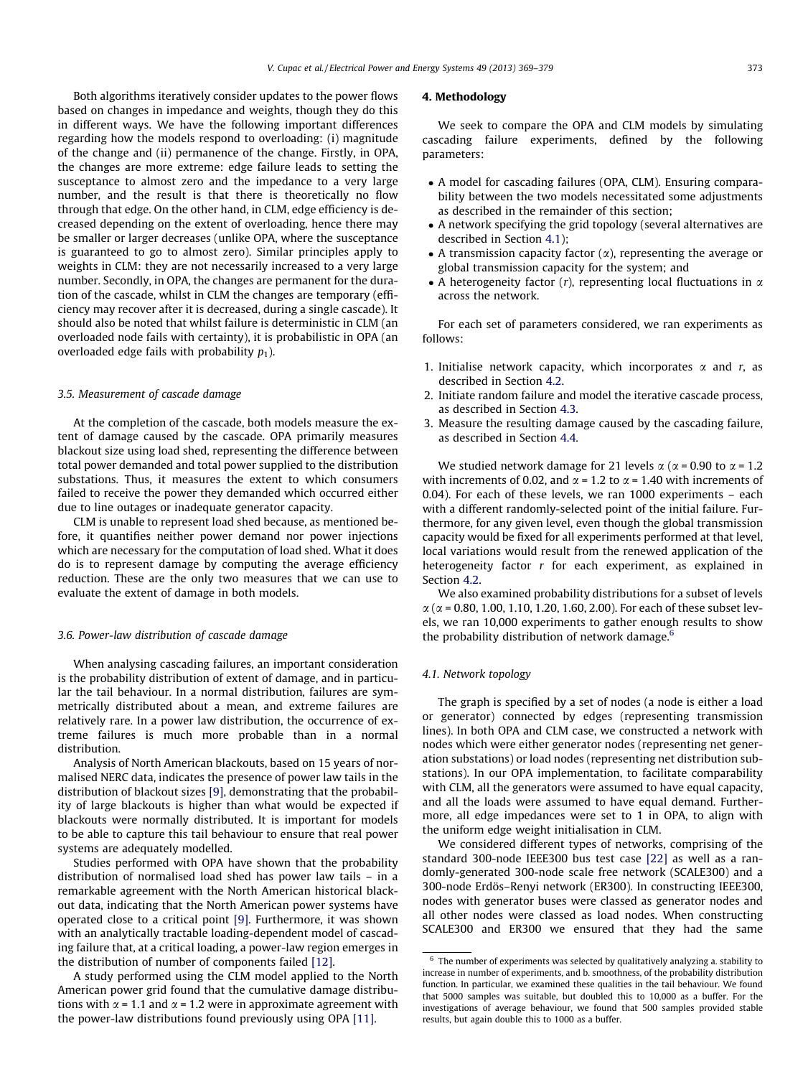<span id="page-4-0"></span>Both algorithms iteratively consider updates to the power flows based on changes in impedance and weights, though they do this in different ways. We have the following important differences regarding how the models respond to overloading: (i) magnitude of the change and (ii) permanence of the change. Firstly, in OPA, the changes are more extreme: edge failure leads to setting the susceptance to almost zero and the impedance to a very large number, and the result is that there is theoretically no flow through that edge. On the other hand, in CLM, edge efficiency is decreased depending on the extent of overloading, hence there may be smaller or larger decreases (unlike OPA, where the susceptance is guaranteed to go to almost zero). Similar principles apply to weights in CLM: they are not necessarily increased to a very large number. Secondly, in OPA, the changes are permanent for the duration of the cascade, whilst in CLM the changes are temporary (efficiency may recover after it is decreased, during a single cascade). It should also be noted that whilst failure is deterministic in CLM (an overloaded node fails with certainty), it is probabilistic in OPA (an overloaded edge fails with probability  $p_1$ ).

#### 3.5. Measurement of cascade damage

At the completion of the cascade, both models measure the extent of damage caused by the cascade. OPA primarily measures blackout size using load shed, representing the difference between total power demanded and total power supplied to the distribution substations. Thus, it measures the extent to which consumers failed to receive the power they demanded which occurred either due to line outages or inadequate generator capacity.

CLM is unable to represent load shed because, as mentioned before, it quantifies neither power demand nor power injections which are necessary for the computation of load shed. What it does do is to represent damage by computing the average efficiency reduction. These are the only two measures that we can use to evaluate the extent of damage in both models.

#### 3.6. Power-law distribution of cascade damage

When analysing cascading failures, an important consideration is the probability distribution of extent of damage, and in particular the tail behaviour. In a normal distribution, failures are symmetrically distributed about a mean, and extreme failures are relatively rare. In a power law distribution, the occurrence of extreme failures is much more probable than in a normal distribution.

Analysis of North American blackouts, based on 15 years of normalised NERC data, indicates the presence of power law tails in the distribution of blackout sizes [\[9\],](#page-10-0) demonstrating that the probability of large blackouts is higher than what would be expected if blackouts were normally distributed. It is important for models to be able to capture this tail behaviour to ensure that real power systems are adequately modelled.

Studies performed with OPA have shown that the probability distribution of normalised load shed has power law tails – in a remarkable agreement with the North American historical blackout data, indicating that the North American power systems have operated close to a critical point [\[9\]](#page-10-0). Furthermore, it was shown with an analytically tractable loading-dependent model of cascading failure that, at a critical loading, a power-law region emerges in the distribution of number of components failed [\[12\]](#page-10-0).

A study performed using the CLM model applied to the North American power grid found that the cumulative damage distributions with  $\alpha$  = 1.1 and  $\alpha$  = 1.2 were in approximate agreement with the power-law distributions found previously using OPA [\[11\].](#page-10-0)

# 4. Methodology

We seek to compare the OPA and CLM models by simulating cascading failure experiments, defined by the following parameters:

- A model for cascading failures (OPA, CLM). Ensuring comparability between the two models necessitated some adjustments as described in the remainder of this section;
- A network specifying the grid topology (several alternatives are described in Section 4.1);
- A transmission capacity factor  $(\alpha)$ , representing the average or global transmission capacity for the system; and
- A heterogeneity factor (r), representing local fluctuations in  $\alpha$ across the network.

For each set of parameters considered, we ran experiments as follows:

- 1. Initialise network capacity, which incorporates  $\alpha$  and  $r$ , as described in Section [4.2](#page-5-0).
- 2. Initiate random failure and model the iterative cascade process, as described in Section [4.3.](#page-5-0)
- 3. Measure the resulting damage caused by the cascading failure, as described in Section [4.4.](#page-6-0)

We studied network damage for 21 levels  $\alpha$  ( $\alpha$  = 0.90 to  $\alpha$  = 1.2 with increments of 0.02, and  $\alpha$  = 1.2 to  $\alpha$  = 1.40 with increments of 0.04). For each of these levels, we ran 1000 experiments – each with a different randomly-selected point of the initial failure. Furthermore, for any given level, even though the global transmission capacity would be fixed for all experiments performed at that level, local variations would result from the renewed application of the heterogeneity factor r for each experiment, as explained in Section [4.2](#page-5-0).

We also examined probability distributions for a subset of levels  $\alpha$  ( $\alpha$  = 0.80, 1.00, 1.10, 1.20, 1.60, 2.00). For each of these subset levels, we ran 10,000 experiments to gather enough results to show the probability distribution of network damage.<sup>6</sup>

#### 4.1. Network topology

The graph is specified by a set of nodes (a node is either a load or generator) connected by edges (representing transmission lines). In both OPA and CLM case, we constructed a network with nodes which were either generator nodes (representing net generation substations) or load nodes (representing net distribution substations). In our OPA implementation, to facilitate comparability with CLM, all the generators were assumed to have equal capacity, and all the loads were assumed to have equal demand. Furthermore, all edge impedances were set to 1 in OPA, to align with the uniform edge weight initialisation in CLM.

We considered different types of networks, comprising of the standard 300-node IEEE300 bus test case [\[22\]](#page-10-0) as well as a randomly-generated 300-node scale free network (SCALE300) and a 300-node Erdös–Renyi network (ER300). In constructing IEEE300, nodes with generator buses were classed as generator nodes and all other nodes were classed as load nodes. When constructing SCALE300 and ER300 we ensured that they had the same

 $6$  The number of experiments was selected by qualitatively analyzing a. stability to increase in number of experiments, and b. smoothness, of the probability distribution function. In particular, we examined these qualities in the tail behaviour. We found that 5000 samples was suitable, but doubled this to 10,000 as a buffer. For the investigations of average behaviour, we found that 500 samples provided stable results, but again double this to 1000 as a buffer.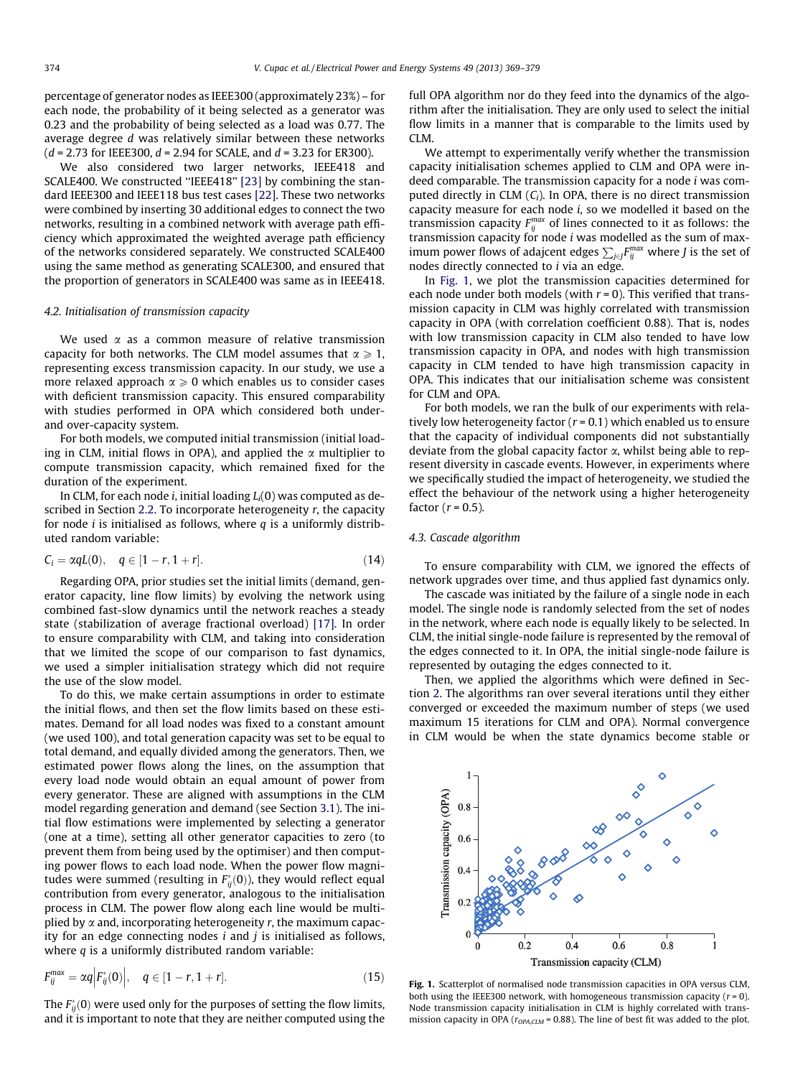<span id="page-5-0"></span>percentage of generator nodes as IEEE300 (approximately 23%) – for each node, the probability of it being selected as a generator was 0.23 and the probability of being selected as a load was 0.77. The average degree d was relatively similar between these networks  $(d = 2.73$  for IEEE300,  $d = 2.94$  for SCALE, and  $d = 3.23$  for ER300).

We also considered two larger networks, IEEE418 and SCALE400. We constructed ''IEEE418'' [\[23\]](#page-10-0) by combining the standard IEEE300 and IEEE118 bus test cases [\[22\]](#page-10-0). These two networks were combined by inserting 30 additional edges to connect the two networks, resulting in a combined network with average path efficiency which approximated the weighted average path efficiency of the networks considered separately. We constructed SCALE400 using the same method as generating SCALE300, and ensured that the proportion of generators in SCALE400 was same as in IEEE418.

#### 4.2. Initialisation of transmission capacity

We used  $\alpha$  as a common measure of relative transmission capacity for both networks. The CLM model assumes that  $\alpha \geq 1$ , representing excess transmission capacity. In our study, we use a more relaxed approach  $\alpha \geq 0$  which enables us to consider cases with deficient transmission capacity. This ensured comparability with studies performed in OPA which considered both underand over-capacity system.

For both models, we computed initial transmission (initial loading in CLM, initial flows in OPA), and applied the  $\alpha$  multiplier to compute transmission capacity, which remained fixed for the duration of the experiment.

In CLM, for each node *i*, initial loading  $L_i(0)$  was computed as de-scribed in Section [2.2.](#page-2-0) To incorporate heterogeneity  $r$ , the capacity for node *i* is initialised as follows, where  $q$  is a uniformly distributed random variable:

$$
C_i = \alpha q L(0), \quad q \in [1 - r, 1 + r]. \tag{14}
$$

Regarding OPA, prior studies set the initial limits (demand, generator capacity, line flow limits) by evolving the network using combined fast-slow dynamics until the network reaches a steady state (stabilization of average fractional overload) [\[17\].](#page-10-0) In order to ensure comparability with CLM, and taking into consideration that we limited the scope of our comparison to fast dynamics, we used a simpler initialisation strategy which did not require the use of the slow model.

To do this, we make certain assumptions in order to estimate the initial flows, and then set the flow limits based on these estimates. Demand for all load nodes was fixed to a constant amount (we used 100), and total generation capacity was set to be equal to total demand, and equally divided among the generators. Then, we estimated power flows along the lines, on the assumption that every load node would obtain an equal amount of power from every generator. These are aligned with assumptions in the CLM model regarding generation and demand (see Section [3.1](#page-3-0)). The initial flow estimations were implemented by selecting a generator (one at a time), setting all other generator capacities to zero (to prevent them from being used by the optimiser) and then computing power flows to each load node. When the power flow magnitudes were summed (resulting in  $F_{ij}^*(0)$ ), they would reflect equal contribution from every generator, analogous to the initialisation process in CLM. The power flow along each line would be multiplied by  $\alpha$  and, incorporating heterogeneity r, the maximum capacity for an edge connecting nodes  $i$  and  $j$  is initialised as follows, where  $q$  is a uniformly distributed random variable:

$$
F_{ij}^{max} = \alpha q \Big| F_{ij}^{*}(0) \Big|, \quad q \in [1-r, 1+r]. \tag{15}
$$

The  $F_{ij}^*(0)$  were used only for the purposes of setting the flow limits, and it is important to note that they are neither computed using the full OPA algorithm nor do they feed into the dynamics of the algorithm after the initialisation. They are only used to select the initial flow limits in a manner that is comparable to the limits used by CLM.

We attempt to experimentally verify whether the transmission capacity initialisation schemes applied to CLM and OPA were indeed comparable. The transmission capacity for a node  $i$  was computed directly in CLM  $(C_i)$ . In OPA, there is no direct transmission capacity measure for each node  $i$ , so we modelled it based on the transmission capacity  $F_{ij}^{max}$  of lines connected to it as follows: the transmission capacity for node i was modelled as the sum of maximum power flows of adajcent edges  $\sum_{j \in J} F_{ij}^{max}$  where *J* is the set of nodes directly connected to  $i$  via an edge.

In Fig. 1, we plot the transmission capacities determined for each node under both models (with  $r = 0$ ). This verified that transmission capacity in CLM was highly correlated with transmission capacity in OPA (with correlation coefficient 0.88). That is, nodes with low transmission capacity in CLM also tended to have low transmission capacity in OPA, and nodes with high transmission capacity in CLM tended to have high transmission capacity in OPA. This indicates that our initialisation scheme was consistent for CLM and OPA.

For both models, we ran the bulk of our experiments with relatively low heterogeneity factor  $(r = 0.1)$  which enabled us to ensure that the capacity of individual components did not substantially deviate from the global capacity factor  $\alpha$ , whilst being able to represent diversity in cascade events. However, in experiments where we specifically studied the impact of heterogeneity, we studied the effect the behaviour of the network using a higher heterogeneity factor ( $r = 0.5$ ).

## 4.3. Cascade algorithm

To ensure comparability with CLM, we ignored the effects of network upgrades over time, and thus applied fast dynamics only.

The cascade was initiated by the failure of a single node in each model. The single node is randomly selected from the set of nodes in the network, where each node is equally likely to be selected. In CLM, the initial single-node failure is represented by the removal of the edges connected to it. In OPA, the initial single-node failure is represented by outaging the edges connected to it.

Then, we applied the algorithms which were defined in Section [2](#page-1-0). The algorithms ran over several iterations until they either converged or exceeded the maximum number of steps (we used maximum 15 iterations for CLM and OPA). Normal convergence in CLM would be when the state dynamics become stable or



Fig. 1. Scatterplot of normalised node transmission capacities in OPA versus CLM, both using the IEEE300 network, with homogeneous transmission capacity  $(r = 0)$ . Node transmission capacity initialisation in CLM is highly correlated with transmission capacity in OPA ( $r_{OPACLM}$  = 0.88). The line of best fit was added to the plot.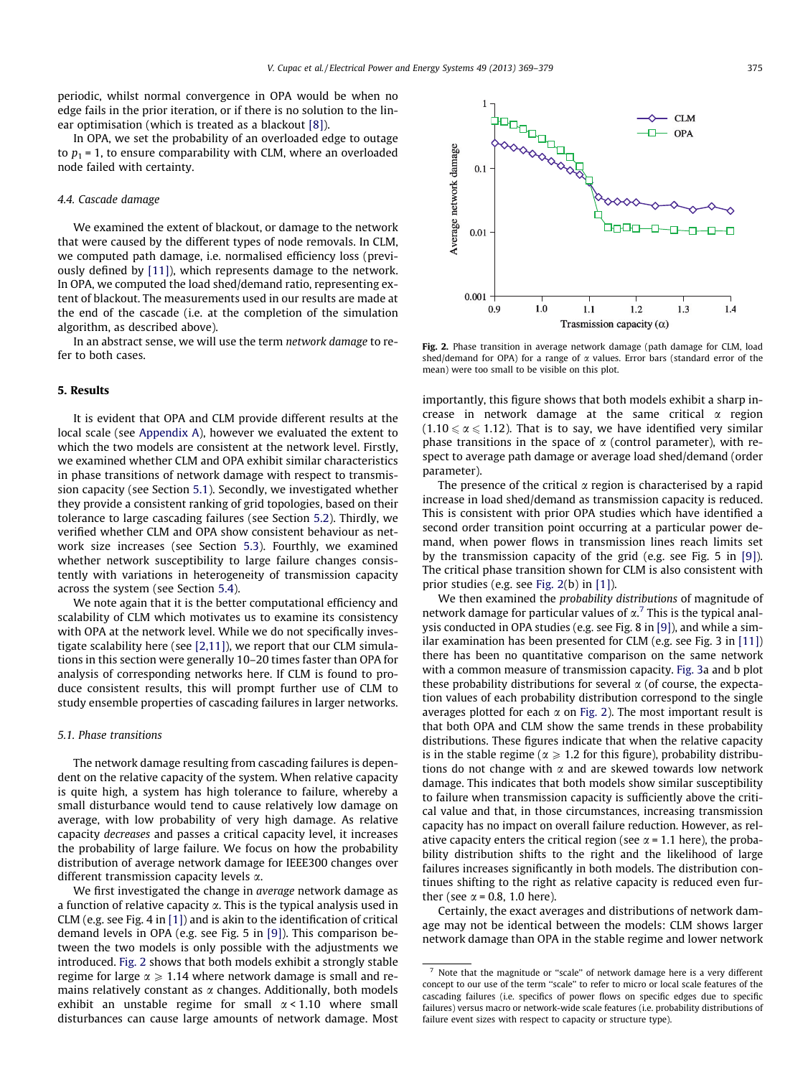<span id="page-6-0"></span>periodic, whilst normal convergence in OPA would be when no edge fails in the prior iteration, or if there is no solution to the linear optimisation (which is treated as a blackout [\[8\]](#page-10-0)).

In OPA, we set the probability of an overloaded edge to outage to  $p_1$  = 1, to ensure comparability with CLM, where an overloaded node failed with certainty.

#### 4.4. Cascade damage

We examined the extent of blackout, or damage to the network that were caused by the different types of node removals. In CLM, we computed path damage, i.e. normalised efficiency loss (previously defined by [\[11\]\)](#page-10-0), which represents damage to the network. In OPA, we computed the load shed/demand ratio, representing extent of blackout. The measurements used in our results are made at the end of the cascade (i.e. at the completion of the simulation algorithm, as described above).

In an abstract sense, we will use the term network damage to refer to both cases.

### 5. Results

It is evident that OPA and CLM provide different results at the local scale (see [Appendix A\)](#page-9-0), however we evaluated the extent to which the two models are consistent at the network level. Firstly, we examined whether CLM and OPA exhibit similar characteristics in phase transitions of network damage with respect to transmission capacity (see Section 5.1). Secondly, we investigated whether they provide a consistent ranking of grid topologies, based on their tolerance to large cascading failures (see Section [5.2\)](#page-7-0). Thirdly, we verified whether CLM and OPA show consistent behaviour as network size increases (see Section [5.3\)](#page-7-0). Fourthly, we examined whether network susceptibility to large failure changes consistently with variations in heterogeneity of transmission capacity across the system (see Section [5.4](#page-8-0)).

We note again that it is the better computational efficiency and scalability of CLM which motivates us to examine its consistency with OPA at the network level. While we do not specifically investigate scalability here (see [\[2,11\]](#page-10-0)), we report that our CLM simulations in this section were generally 10–20 times faster than OPA for analysis of corresponding networks here. If CLM is found to produce consistent results, this will prompt further use of CLM to study ensemble properties of cascading failures in larger networks.

#### 5.1. Phase transitions

The network damage resulting from cascading failures is dependent on the relative capacity of the system. When relative capacity is quite high, a system has high tolerance to failure, whereby a small disturbance would tend to cause relatively low damage on average, with low probability of very high damage. As relative capacity decreases and passes a critical capacity level, it increases the probability of large failure. We focus on how the probability distribution of average network damage for IEEE300 changes over different transmission capacity levels  $\alpha$ .

We first investigated the change in average network damage as a function of relative capacity  $\alpha$ . This is the typical analysis used in CLM (e.g. see Fig. 4 in [\[1\]\)](#page-10-0) and is akin to the identification of critical demand levels in OPA (e.g. see Fig. 5 in [\[9\]\)](#page-10-0). This comparison between the two models is only possible with the adjustments we introduced. Fig. 2 shows that both models exhibit a strongly stable regime for large  $\alpha \geq 1.14$  where network damage is small and remains relatively constant as  $\alpha$  changes. Additionally, both models exhibit an unstable regime for small  $\alpha$  < 1.10 where small disturbances can cause large amounts of network damage. Most



Fig. 2. Phase transition in average network damage (path damage for CLM, load shed/demand for OPA) for a range of  $\alpha$  values. Error bars (standard error of the mean) were too small to be visible on this plot.

importantly, this figure shows that both models exhibit a sharp increase in network damage at the same critical  $\alpha$  region  $(1.10 \le \alpha \le 1.12)$ . That is to say, we have identified very similar phase transitions in the space of  $\alpha$  (control parameter), with respect to average path damage or average load shed/demand (order parameter).

The presence of the critical  $\alpha$  region is characterised by a rapid increase in load shed/demand as transmission capacity is reduced. This is consistent with prior OPA studies which have identified a second order transition point occurring at a particular power demand, when power flows in transmission lines reach limits set by the transmission capacity of the grid (e.g. see Fig. 5 in [\[9\]\)](#page-10-0). The critical phase transition shown for CLM is also consistent with prior studies (e.g. see Fig. 2(b) in [\[1\]](#page-10-0)).

We then examined the probability distributions of magnitude of network damage for particular values of  $\alpha$ .<sup>7</sup> This is the typical analysis conducted in OPA studies (e.g. see Fig. 8 in [\[9\]\)](#page-10-0), and while a similar examination has been presented for CLM (e.g. see Fig. 3 in [\[11\]\)](#page-10-0) there has been no quantitative comparison on the same network with a common measure of transmission capacity. [Fig. 3a](#page-7-0) and b plot these probability distributions for several  $\alpha$  (of course, the expectation values of each probability distribution correspond to the single averages plotted for each  $\alpha$  on Fig. 2). The most important result is that both OPA and CLM show the same trends in these probability distributions. These figures indicate that when the relative capacity is in the stable regime ( $\alpha \geq 1.2$  for this figure), probability distributions do not change with  $\alpha$  and are skewed towards low network damage. This indicates that both models show similar susceptibility to failure when transmission capacity is sufficiently above the critical value and that, in those circumstances, increasing transmission capacity has no impact on overall failure reduction. However, as relative capacity enters the critical region (see  $\alpha$  = 1.1 here), the probability distribution shifts to the right and the likelihood of large failures increases significantly in both models. The distribution continues shifting to the right as relative capacity is reduced even further (see  $\alpha$  = 0.8, 1.0 here).

Certainly, the exact averages and distributions of network damage may not be identical between the models: CLM shows larger network damage than OPA in the stable regime and lower network

Note that the magnitude or "scale" of network damage here is a very different concept to our use of the term ''scale'' to refer to micro or local scale features of the cascading failures (i.e. specifics of power flows on specific edges due to specific failures) versus macro or network-wide scale features (i.e. probability distributions of failure event sizes with respect to capacity or structure type).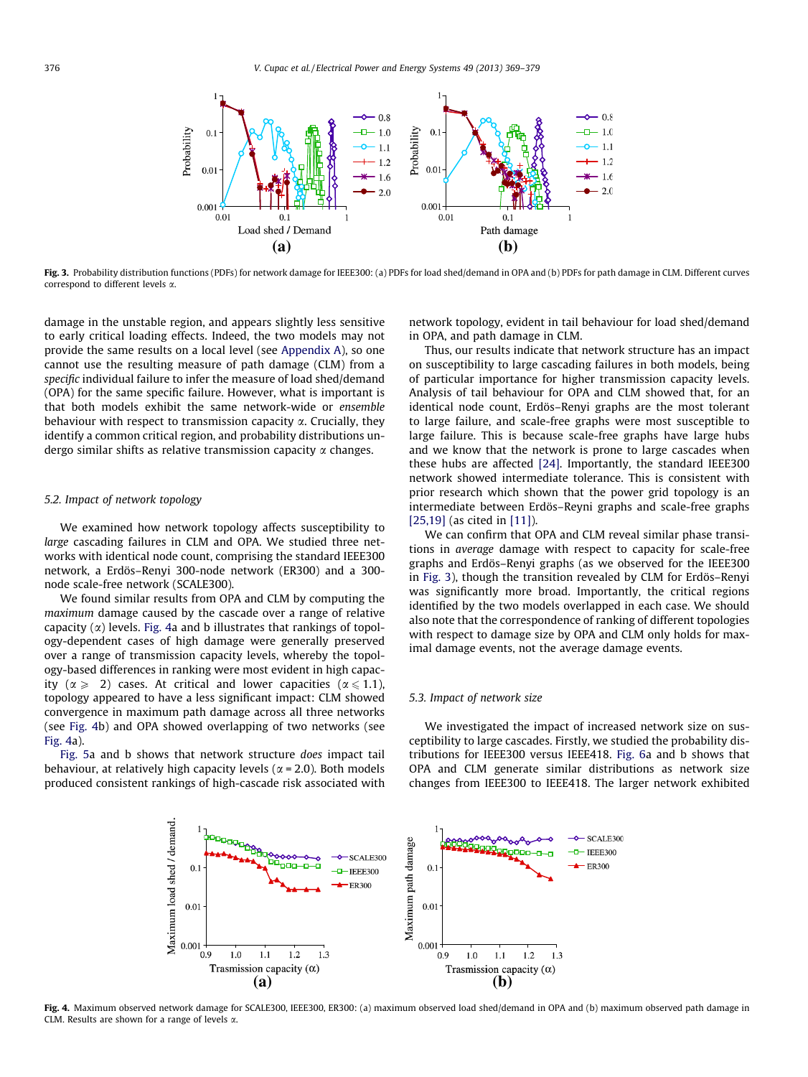<span id="page-7-0"></span>

Fig. 3. Probability distribution functions (PDFs) for network damage for IEEE300: (a) PDFs for load shed/demand in OPA and (b) PDFs for path damage in CLM. Different curves correspond to different levels a.

damage in the unstable region, and appears slightly less sensitive to early critical loading effects. Indeed, the two models may not provide the same results on a local level (see [Appendix A\)](#page-9-0), so one cannot use the resulting measure of path damage (CLM) from a specific individual failure to infer the measure of load shed/demand (OPA) for the same specific failure. However, what is important is that both models exhibit the same network-wide or ensemble behaviour with respect to transmission capacity  $\alpha$ . Crucially, they identify a common critical region, and probability distributions undergo similar shifts as relative transmission capacity  $\alpha$  changes.

#### 5.2. Impact of network topology

We examined how network topology affects susceptibility to large cascading failures in CLM and OPA. We studied three networks with identical node count, comprising the standard IEEE300 network, a Erdös–Renyi 300-node network (ER300) and a 300 node scale-free network (SCALE300).

We found similar results from OPA and CLM by computing the maximum damage caused by the cascade over a range of relative capacity  $(\alpha)$  levels. Fig. 4a and b illustrates that rankings of topology-dependent cases of high damage were generally preserved over a range of transmission capacity levels, whereby the topology-based differences in ranking were most evident in high capacity ( $\alpha \ge 2$ ) cases. At critical and lower capacities ( $\alpha \le 1.1$ ), topology appeared to have a less significant impact: CLM showed convergence in maximum path damage across all three networks (see Fig. 4b) and OPA showed overlapping of two networks (see Fig. 4a).

[Fig. 5a](#page-8-0) and b shows that network structure does impact tail behaviour, at relatively high capacity levels ( $\alpha$  = 2.0). Both models produced consistent rankings of high-cascade risk associated with network topology, evident in tail behaviour for load shed/demand in OPA, and path damage in CLM.

Thus, our results indicate that network structure has an impact on susceptibility to large cascading failures in both models, being of particular importance for higher transmission capacity levels. Analysis of tail behaviour for OPA and CLM showed that, for an identical node count, Erdös–Renyi graphs are the most tolerant to large failure, and scale-free graphs were most susceptible to large failure. This is because scale-free graphs have large hubs and we know that the network is prone to large cascades when these hubs are affected [\[24\].](#page-10-0) Importantly, the standard IEEE300 network showed intermediate tolerance. This is consistent with prior research which shown that the power grid topology is an intermediate between Erdös–Reyni graphs and scale-free graphs [\[25,19\]](#page-10-0) (as cited in [\[11\]\)](#page-10-0).

We can confirm that OPA and CLM reveal similar phase transitions in average damage with respect to capacity for scale-free graphs and Erdös–Renyi graphs (as we observed for the IEEE300 in Fig. 3), though the transition revealed by CLM for Erdös–Renyi was significantly more broad. Importantly, the critical regions identified by the two models overlapped in each case. We should also note that the correspondence of ranking of different topologies with respect to damage size by OPA and CLM only holds for maximal damage events, not the average damage events.

#### 5.3. Impact of network size

We investigated the impact of increased network size on susceptibility to large cascades. Firstly, we studied the probability distributions for IEEE300 versus IEEE418. [Fig. 6](#page-8-0)a and b shows that OPA and CLM generate similar distributions as network size changes from IEEE300 to IEEE418. The larger network exhibited



Fig. 4. Maximum observed network damage for SCALE300, IEEE300, ER300: (a) maximum observed load shed/demand in OPA and (b) maximum observed path damage in CLM. Results are shown for a range of levels  $\alpha$ .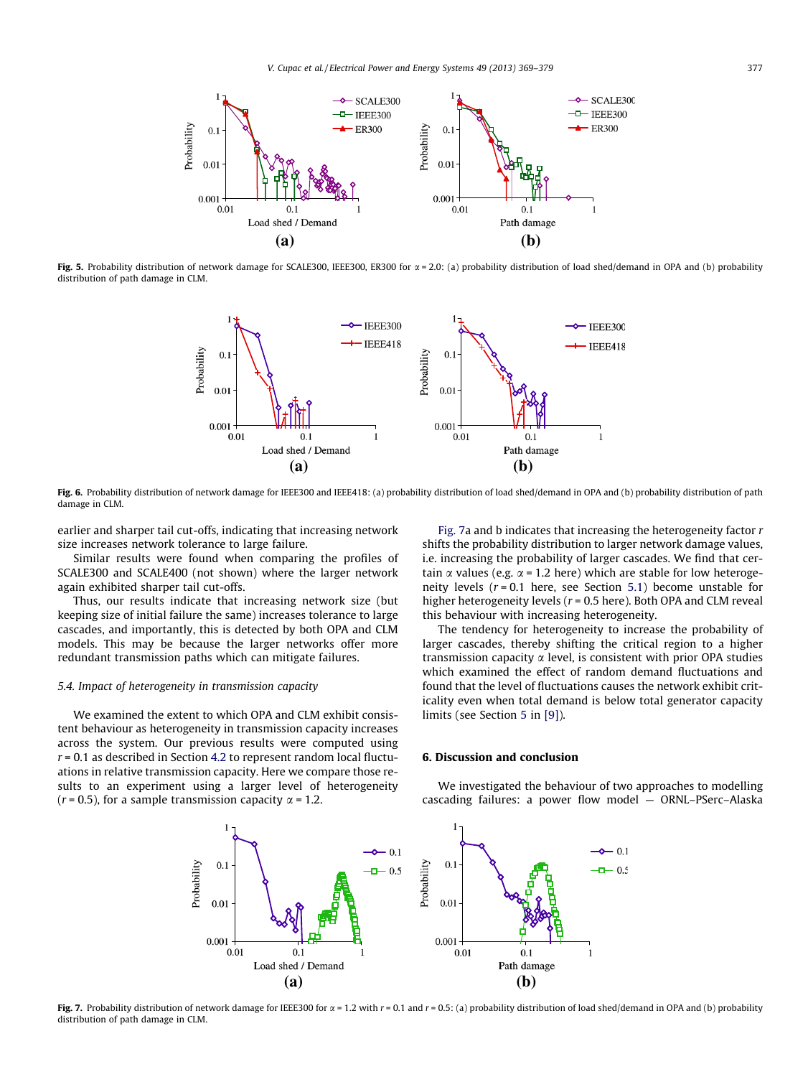<span id="page-8-0"></span>

Fig. 5. Probability distribution of network damage for SCALE300, IEEE300, ER300 for  $\alpha$  = 2.0: (a) probability distribution of load shed/demand in OPA and (b) probability distribution of path damage in CLM.



Fig. 6. Probability distribution of network damage for IEEE300 and IEEE418: (a) probability distribution of load shed/demand in OPA and (b) probability distribution of path damage in CLM.

earlier and sharper tail cut-offs, indicating that increasing network size increases network tolerance to large failure.

Similar results were found when comparing the profiles of SCALE300 and SCALE400 (not shown) where the larger network again exhibited sharper tail cut-offs.

Thus, our results indicate that increasing network size (but keeping size of initial failure the same) increases tolerance to large cascades, and importantly, this is detected by both OPA and CLM models. This may be because the larger networks offer more redundant transmission paths which can mitigate failures.

# 5.4. Impact of heterogeneity in transmission capacity

We examined the extent to which OPA and CLM exhibit consistent behaviour as heterogeneity in transmission capacity increases across the system. Our previous results were computed using  $r = 0.1$  as described in Section [4.2](#page-5-0) to represent random local fluctuations in relative transmission capacity. Here we compare those results to an experiment using a larger level of heterogeneity ( $r = 0.5$ ), for a sample transmission capacity  $\alpha = 1.2$ .

Fig. 7a and b indicates that increasing the heterogeneity factor r shifts the probability distribution to larger network damage values, i.e. increasing the probability of larger cascades. We find that certain  $\alpha$  values (e.g.  $\alpha$  = 1.2 here) which are stable for low heterogeneity levels ( $r = 0.1$  here, see Section [5.1](#page-6-0)) become unstable for higher heterogeneity levels ( $r = 0.5$  here). Both OPA and CLM reveal this behaviour with increasing heterogeneity.

The tendency for heterogeneity to increase the probability of larger cascades, thereby shifting the critical region to a higher transmission capacity  $\alpha$  level, is consistent with prior OPA studies which examined the effect of random demand fluctuations and found that the level of fluctuations causes the network exhibit criticality even when total demand is below total generator capacity limits (see Section [5](#page-6-0) in [\[9\]](#page-10-0)).

#### 6. Discussion and conclusion

We investigated the behaviour of two approaches to modelling cascading failures: a power flow model — ORNL–PSerc–Alaska



Fig. 7. Probability distribution of network damage for IEEE300 for  $\alpha$  = 1.2 with  $r = 0.1$  and  $r = 0.5$ : (a) probability distribution of load shed/demand in OPA and (b) probability distribution of path damage in CLM.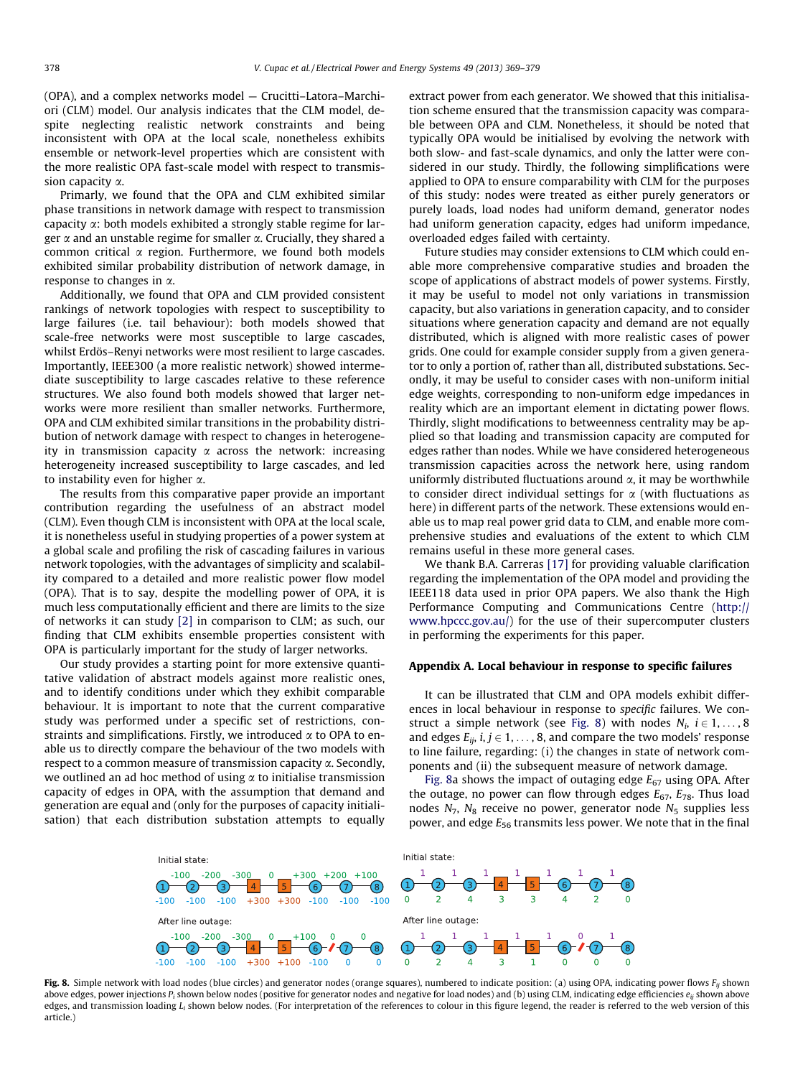<span id="page-9-0"></span>(OPA), and a complex networks model — Crucitti–Latora–Marchiori (CLM) model. Our analysis indicates that the CLM model, despite neglecting realistic network constraints and being inconsistent with OPA at the local scale, nonetheless exhibits ensemble or network-level properties which are consistent with the more realistic OPA fast-scale model with respect to transmission capacity  $\alpha$ .

Primarly, we found that the OPA and CLM exhibited similar phase transitions in network damage with respect to transmission capacity  $\alpha$ : both models exhibited a strongly stable regime for larger  $\alpha$  and an unstable regime for smaller  $\alpha$ . Crucially, they shared a common critical  $\alpha$  region. Furthermore, we found both models exhibited similar probability distribution of network damage, in response to changes in  $\alpha$ .

Additionally, we found that OPA and CLM provided consistent rankings of network topologies with respect to susceptibility to large failures (i.e. tail behaviour): both models showed that scale-free networks were most susceptible to large cascades, whilst Erdös–Renyi networks were most resilient to large cascades. Importantly, IEEE300 (a more realistic network) showed intermediate susceptibility to large cascades relative to these reference structures. We also found both models showed that larger networks were more resilient than smaller networks. Furthermore, OPA and CLM exhibited similar transitions in the probability distribution of network damage with respect to changes in heterogeneity in transmission capacity  $\alpha$  across the network: increasing heterogeneity increased susceptibility to large cascades, and led to instability even for higher  $\alpha$ .

The results from this comparative paper provide an important contribution regarding the usefulness of an abstract model (CLM). Even though CLM is inconsistent with OPA at the local scale, it is nonetheless useful in studying properties of a power system at a global scale and profiling the risk of cascading failures in various network topologies, with the advantages of simplicity and scalability compared to a detailed and more realistic power flow model (OPA). That is to say, despite the modelling power of OPA, it is much less computationally efficient and there are limits to the size of networks it can study [\[2\]](#page-10-0) in comparison to CLM; as such, our finding that CLM exhibits ensemble properties consistent with OPA is particularly important for the study of larger networks.

Our study provides a starting point for more extensive quantitative validation of abstract models against more realistic ones, and to identify conditions under which they exhibit comparable behaviour. It is important to note that the current comparative study was performed under a specific set of restrictions, constraints and simplifications. Firstly, we introduced  $\alpha$  to OPA to enable us to directly compare the behaviour of the two models with respect to a common measure of transmission capacity a. Secondly, we outlined an ad hoc method of using  $\alpha$  to initialise transmission capacity of edges in OPA, with the assumption that demand and generation are equal and (only for the purposes of capacity initialisation) that each distribution substation attempts to equally

extract power from each generator. We showed that this initialisation scheme ensured that the transmission capacity was comparable between OPA and CLM. Nonetheless, it should be noted that typically OPA would be initialised by evolving the network with both slow- and fast-scale dynamics, and only the latter were considered in our study. Thirdly, the following simplifications were applied to OPA to ensure comparability with CLM for the purposes of this study: nodes were treated as either purely generators or purely loads, load nodes had uniform demand, generator nodes had uniform generation capacity, edges had uniform impedance, overloaded edges failed with certainty.

Future studies may consider extensions to CLM which could enable more comprehensive comparative studies and broaden the scope of applications of abstract models of power systems. Firstly, it may be useful to model not only variations in transmission capacity, but also variations in generation capacity, and to consider situations where generation capacity and demand are not equally distributed, which is aligned with more realistic cases of power grids. One could for example consider supply from a given generator to only a portion of, rather than all, distributed substations. Secondly, it may be useful to consider cases with non-uniform initial edge weights, corresponding to non-uniform edge impedances in reality which are an important element in dictating power flows. Thirdly, slight modifications to betweenness centrality may be applied so that loading and transmission capacity are computed for edges rather than nodes. While we have considered heterogeneous transmission capacities across the network here, using random uniformly distributed fluctuations around  $\alpha$ , it may be worthwhile to consider direct individual settings for  $\alpha$  (with fluctuations as here) in different parts of the network. These extensions would enable us to map real power grid data to CLM, and enable more comprehensive studies and evaluations of the extent to which CLM remains useful in these more general cases.

We thank B.A. Carreras [\[17\]](#page-10-0) for providing valuable clarification regarding the implementation of the OPA model and providing the IEEE118 data used in prior OPA papers. We also thank the High Performance Computing and Communications Centre [\(http://](http://www.hpccc.gov.au/) [www.hpccc.gov.au/\)](http://www.hpccc.gov.au/) for the use of their supercomputer clusters in performing the experiments for this paper.

#### Appendix A. Local behaviour in response to specific failures

It can be illustrated that CLM and OPA models exhibit differences in local behaviour in response to specific failures. We construct a simple network (see Fig. 8) with nodes  $N_i$ ,  $i \in 1, \ldots, 8$ and edges  $E_{ii}$ ,  $i, j \in 1, \ldots, 8$ , and compare the two models' response to line failure, regarding: (i) the changes in state of network components and (ii) the subsequent measure of network damage.

Fig. 8a shows the impact of outaging edge  $E_{67}$  using OPA. After the outage, no power can flow through edges  $E_{67}$ ,  $E_{78}$ . Thus load nodes  $N_7$ ,  $N_8$  receive no power, generator node  $N_5$  supplies less power, and edge  $E_{56}$  transmits less power. We note that in the final



Fig. 8. Simple network with load nodes (blue circles) and generator nodes (orange squares), numbered to indicate position: (a) using OPA, indicating power flows  $F_{ii}$  shown above edges, power injections  $P_i$  shown below nodes (positive for generator nodes and negative for load nodes) and (b) using CLM, indicating edge efficiencies  $e_{ij}$  shown above edges, and transmission loading L<sub>i</sub> shown below nodes. (For interpretation of the references to colour in this figure legend, the reader is referred to the web version of this article.)